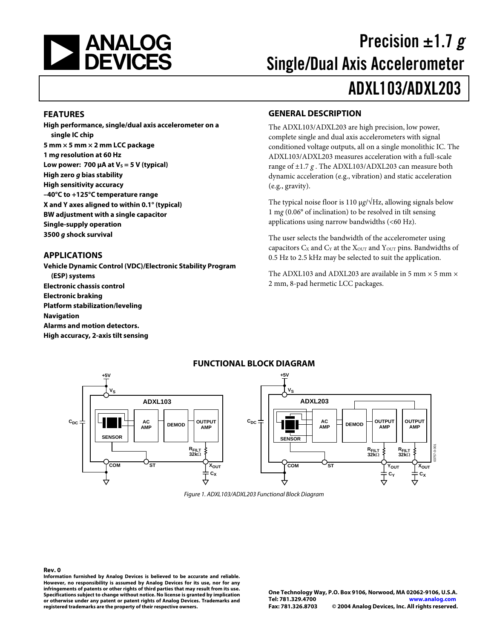

# Precision  $\pm 1.7 g$ Single/Dual Axis Accelerometer ADXL103/ADXL203

#### **FEATURES**

**High performance, single/dual axis accelerometer on a single IC chip 5 mm × 5 mm × 2 mm LCC package 1 mg resolution at 60 Hz**  Low power: 700  $\mu$ A at V<sub>s</sub> = 5 V (typical) **High zero g bias stability High sensitivity accuracy –40°C to +125°C temperature range X and Y axes aligned to within 0.1° (typical) BW adjustment with a single capacitor Single-supply operation 3500 g shock survival**

#### **APPLICATIONS**

**Vehicle Dynamic Control (VDC)/Electronic Stability Program (ESP) systems Electronic chassis control Electronic braking Platform stabilization/leveling Navigation Alarms and motion detectors. High accuracy, 2-axis tilt sensing** 

#### **GENERAL DESCRIPTION**

The ADXL103/ADXL203 are high precision, low power, complete single and dual axis accelerometers with signal conditioned voltage outputs, all on a single monolithic IC. The ADXL103/ADXL203 measures acceleration with a full-scale range of ±1.7 *g* . The ADXL103/ADXL203 can measure both dynamic acceleration (e.g., vibration) and static acceleration (e.g., gravity).

The typical noise floor is 110 μ*g*/√Hz, allowing signals below 1 m*g* (0.06° of inclination) to be resolved in tilt sensing applications using narrow bandwidths (<60 Hz).

The user selects the bandwidth of the accelerometer using capacitors  $C_X$  and  $C_Y$  at the  $X_{\text{OUT}}$  and  $Y_{\text{OUT}}$  pins. Bandwidths of 0.5 Hz to 2.5 kHz may be selected to suit the application.

The ADXL103 and ADXL203 are available in 5 mm  $\times$  5 mm  $\times$ 2 mm, 8-pad hermetic LCC packages.



Figure 1. ADXL103/ADXL203 Functional Block Diagram

**Rev. 0 Information furnished by Analog Devices is believed to be accurate and reliable. However, no responsibility is assumed by Analog Devices for its use, nor for any infringements of patents or other rights of third parties that may result from its use. Specifications subject to change without notice. No license is granted by implication or otherwise under any patent or patent rights of Analog Devices. Trademarks and registered trademarks are the property of their respective owners.**

**One Technology Way, P.O. Box 9106, Norwood, MA 02062-9106, U.S.A. Tel: 781.329.4700 [www.analog.com](http://www.analog.com) Fax: 781.326.8703 © 2004 Analog Devices, Inc. All rights reserved.**

### **FUNCTIONAL BLOCK DIAGRAM**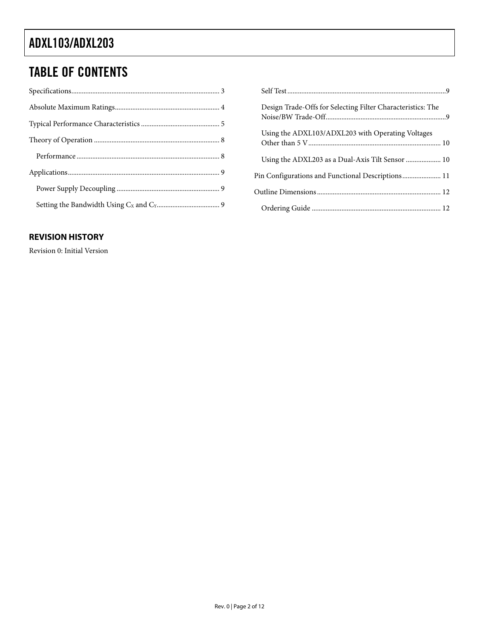# TABLE OF CONTENTS

### **REVISION HISTORY**

Revision 0: Initial Version

| Design Trade-Offs for Selecting Filter Characteristics: The |
|-------------------------------------------------------------|
| Using the ADXL103/ADXL203 with Operating Voltages           |
| Using the ADXL203 as a Dual-Axis Tilt Sensor  10            |
| Pin Configurations and Functional Descriptions 11           |
|                                                             |
|                                                             |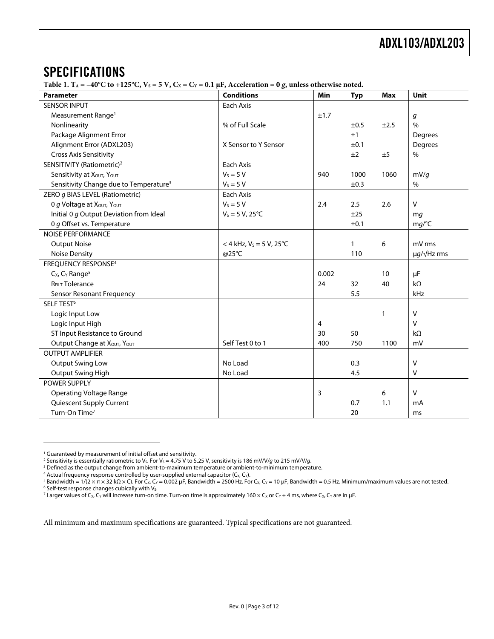### <span id="page-2-0"></span>SPECIFICATIONS

Table 1.  $T_A = -40^{\circ}C$  to  $+125^{\circ}C$ ,  $V_S = 5 V$ ,  $C_X = C_Y = 0.1 \mu F$ , Acceleration = 0 *g*, unless otherwise noted.

| Parameter                                          | <b>Conditions</b>                      | Min   | <b>Typ</b>   | <b>Max</b> | <b>Unit</b>             |
|----------------------------------------------------|----------------------------------------|-------|--------------|------------|-------------------------|
| <b>SENSOR INPUT</b>                                | Each Axis                              |       |              |            |                         |
| Measurement Range <sup>1</sup>                     |                                        | ±1.7  |              |            | g                       |
| Nonlinearity                                       | % of Full Scale                        |       | ±0.5         | ±2.5       | $\frac{0}{0}$           |
| Package Alignment Error                            |                                        |       | ±1           |            | Degrees                 |
| Alignment Error (ADXL203)                          | X Sensor to Y Sensor                   |       | ±0.1         |            | Degrees                 |
| <b>Cross Axis Sensitivity</b>                      |                                        |       | ±2           | ±5         | $\%$                    |
| SENSITIVITY (Ratiometric) <sup>2</sup>             | Each Axis                              |       |              |            |                         |
| Sensitivity at XOUT, YOUT                          | $V_s = 5 V$                            | 940   | 1000         | 1060       | mV/q                    |
| Sensitivity Change due to Temperature <sup>3</sup> | $V_s = 5 V$                            |       | ±0.3         |            | $\%$                    |
| ZERO g BIAS LEVEL (Ratiometric)                    | Each Axis                              |       |              |            |                         |
| O g Voltage at XOUT, YOUT                          | $V_s = 5 V$                            | 2.4   | 2.5          | 2.6        | $\vee$                  |
| Initial 0 g Output Deviation from Ideal            | $V_s = 5 V, 25^{\circ}C$               |       | ±25          |            | mg                      |
| 0 g Offset vs. Temperature                         |                                        |       | ±0.1         |            | mg/C                    |
| <b>NOISE PERFORMANCE</b>                           |                                        |       |              |            |                         |
| <b>Output Noise</b>                                | $<$ 4 kHz, V <sub>s</sub> = 5 V, 25 °C |       | $\mathbf{1}$ | 6          | mV rms                  |
| <b>Noise Density</b>                               | @25°C                                  |       | 110          |            | $\mu q / \sqrt{Hz}$ rms |
| <b>FREQUENCY RESPONSE4</b>                         |                                        |       |              |            |                         |
| C <sub>x</sub> , C <sub>Y</sub> Range <sup>5</sup> |                                        | 0.002 |              | 10         | μF                      |
| <b>R<sub>FILT</sub></b> Tolerance                  |                                        | 24    | 32           | 40         | $k\Omega$               |
| Sensor Resonant Frequency                          |                                        |       | 5.5          |            | kHz                     |
| SELF TEST <sup>6</sup>                             |                                        |       |              |            |                         |
| Logic Input Low                                    |                                        |       |              | 1          | $\mathsf{V}$            |
| Logic Input High                                   |                                        | 4     |              |            | $\vee$                  |
| ST Input Resistance to Ground                      |                                        | 30    | 50           |            | $k\Omega$               |
| Output Change at XOUT, YOUT                        | Self Test 0 to 1                       | 400   | 750          | 1100       | mV                      |
| <b>OUTPUT AMPLIFIER</b>                            |                                        |       |              |            |                         |
| <b>Output Swing Low</b>                            | No Load                                |       | 0.3          |            | $\vee$                  |
| Output Swing High                                  | No Load                                |       | 4.5          |            | $\vee$                  |
| POWER SUPPLY                                       |                                        |       |              |            |                         |
| <b>Operating Voltage Range</b>                     |                                        | 3     |              | 6          | $\mathsf{V}$            |
| Quiescent Supply Current                           |                                        |       | 0.7          | 1.1        | mA                      |
| Turn-On Time <sup>7</sup>                          |                                        |       | 20           |            | ms                      |

<span id="page-2-6"></span><sup>6</sup> Self-test response changes cubically with Vs.

 $\overline{a}$ 

<sup>7</sup> Larger values of C<sub>X</sub>, C<sub>Y</sub> will increase turn-on time. Turn-on time is approximately 160 × C<sub>X</sub> or C<sub>Y</sub> + 4 ms, where C<sub>X</sub>, C<sub>Y</sub> are in µF.

All minimum and maximum specifications are guaranteed. Typical specifications are not guaranteed.

<span id="page-2-1"></span><sup>&</sup>lt;sup>1</sup> Guaranteed by measurement of initial offset and sensitivity.<br><sup>2</sup> Sensitivity is essentially ratiometric to V- For V- – 4.75 V to 5.

<span id="page-2-2"></span><sup>&</sup>lt;sup>2</sup> Sensitivity is essentially ratiometric to V<sub>S</sub>. For V<sub>S</sub> = 4.75 V to 5.25 V, sensitivity is 186 mV/V/g to 215 mV/V/g.<br><sup>3</sup> Defined as the output change from ambient-to-maximum temperature or ambient-to-minimum temperat

<span id="page-2-3"></span><sup>&</sup>lt;sup>3</sup> Defined as the output change from ambient-to-maximum temperature or ambient-to-minimum temperature.

<span id="page-2-4"></span><sup>&</sup>lt;sup>4</sup> Actual frequency response controlled by user-supplied external capacitor (C<sub>X</sub>, C<sub>Y</sub>).<br><sup>5</sup> Bandwidth = 1/(2 × π × 32 kO × C). For C<sub>x,</sub> C<sub>x</sub> = 0.002 μE. Bandwidth = 2500 Hz. For

<span id="page-2-5"></span><sup>&</sup>lt;sup>5</sup> Bandwidth = 1/(2 × π × 32 kΩ × C). For C<sub>X</sub>, C<sub>Y</sub> = 0.002 µF, Bandwidth = 2500 Hz. For C<sub>X</sub>, C<sub>Y</sub> = 10 µF, Bandwidth = 0.5 Hz. Minimum/maximum values are not tested.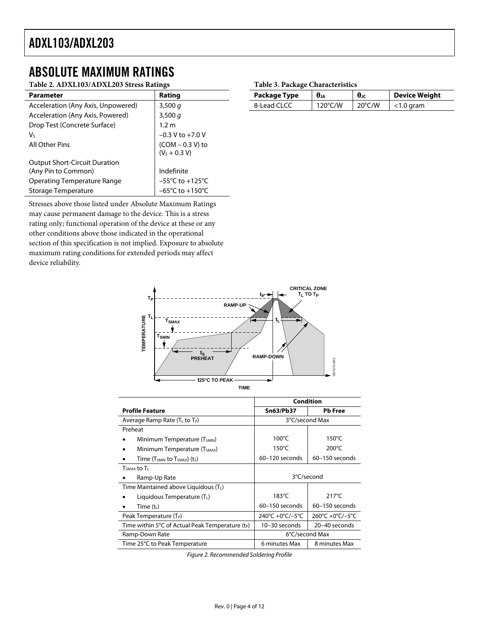### <span id="page-3-0"></span>ABSOLUTE MAXIMUM RATINGS

### **Table 2. ADXL103/ADXL203 Stress Ratings**

| <b>Parameter</b>                     | Rating                               |
|--------------------------------------|--------------------------------------|
| Acceleration (Any Axis, Unpowered)   | 3,500 $q$                            |
| Acceleration (Any Axis, Powered)     | 3,500q                               |
| Drop Test (Concrete Surface)         | 1.2 <sub>m</sub>                     |
| Vs                                   | $-0.3$ V to $+7.0$ V                 |
| All Other Pins                       | $(COM - 0.3 V)$ to<br>$(VS + 0.3 V)$ |
| <b>Output Short-Circuit Duration</b> |                                      |
| (Any Pin to Common)                  | Indefinite                           |
| <b>Operating Temperature Range</b>   | $-55^{\circ}$ C to $+125^{\circ}$ C  |
| Storage Temperature                  | $-65^{\circ}$ C to $+150^{\circ}$ C  |

Stresses above those listed under Absolute Maximum Ratings may cause permanent damage to the device. This is a stress rating only; functional operation of the device at these or any other conditions above those indicated in the operational section of this specification is not implied. Exposure to absolute maximum rating conditions for extended periods may affect device reliability.

#### **Table 3. Package Characteristics**

| Package Type | $\theta_{JA}$     | $\theta_{\rm JC}$ | <b>Device Weight</b> |  |
|--------------|-------------------|-------------------|----------------------|--|
| 8-Lead CLCC  | $120^{\circ}$ C/W | $20^{\circ}$ C/W  | $<$ 1.0 gram         |  |



|                                                                        | <b>Condition</b>   |                  |  |  |
|------------------------------------------------------------------------|--------------------|------------------|--|--|
| <b>Profile Feature</b>                                                 | <b>Sn63/Pb37</b>   | <b>Pb</b> Free   |  |  |
| Average Ramp Rate (T <sub>L</sub> to T <sub>P</sub> )                  |                    | 3°C/second Max   |  |  |
| Preheat                                                                |                    |                  |  |  |
| Minimum Temperature (T <sub>SMIN</sub> )                               | $100^{\circ}$ C    | $150^{\circ}$ C  |  |  |
| Minimum Temperature (T <sub>SMAX</sub> )                               | $150^{\circ}$ C    | $200^{\circ}$ C  |  |  |
| Time (T <sub>SMIN</sub> to T <sub>SMAX</sub> ) (t <sub>S</sub> )       | 60-120 seconds     | $60-150$ seconds |  |  |
| $TSMAX$ to $T1$                                                        |                    |                  |  |  |
| Ramp-Up Rate                                                           | 3°C/second         |                  |  |  |
| Time Maintained above Liquidous (T <sub>1</sub> )                      |                    |                  |  |  |
| Liquidous Temperature $(TL)$                                           | $183^{\circ}$ C    | $217^{\circ}$ C  |  |  |
| Time $(t_{L})$                                                         | $60 - 150$ seconds | $60-150$ seconds |  |  |
| Peak Temperature $(T_P)$                                               | 240°C +0°C/-5°C    | 260°C +0°C/-5°C  |  |  |
| Time within $5^{\circ}$ C of Actual Peak Temperature (t <sub>P</sub> ) | 10-30 seconds      | 20-40 seconds    |  |  |
| Ramp-Down Rate                                                         | 6°C/second Max     |                  |  |  |
| Time 25°C to Peak Temperature                                          | 6 minutes Max      | 8 minutes Max    |  |  |

Figure 2. Recommended Soldering Profile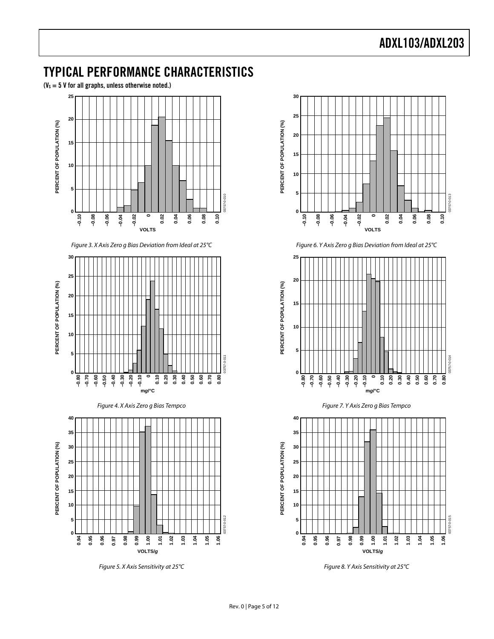### <span id="page-4-0"></span>TYPICAL PERFORMANCE CHARACTERISTICS

 $(V_s = 5 V$  for all graphs, unless otherwise noted.)



Figure 3. X Axis Zero g Bias Deviation from Ideal at 25°C







Figure 5. X Axis Sensitivity at 25°C



Figure 6. Y Axis Zero g Bias Deviation from Ideal at 25°C







Figure 8. Y Axis Sensitivity at 25°C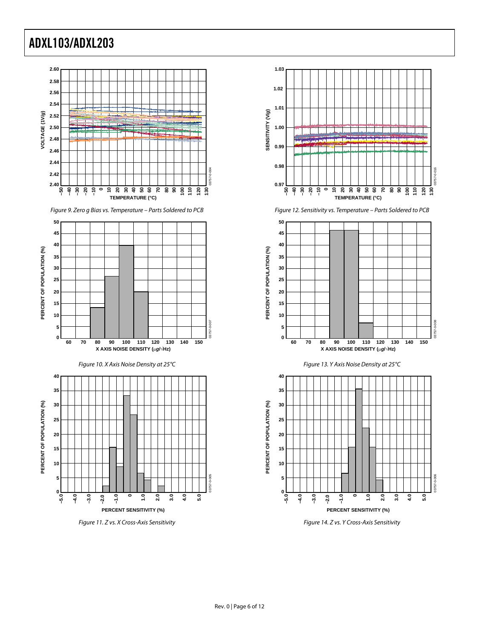





Figure 11. Z vs. X Cross-Axis Sensitivity









Figure 14. Z vs. Y Cross-Axis Sensitivity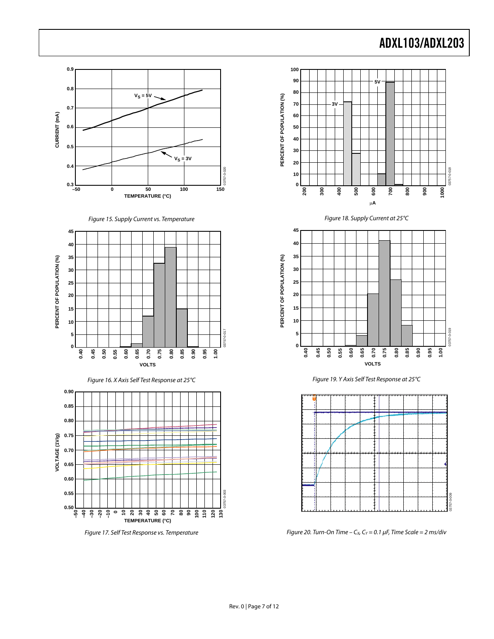









Figure 17. Self Test Response vs. Temperature



Figure 18. Supply Current at 25°C







Figure 20. Turn-On Time –  $C_x$ ,  $C_y$  = 0.1 µF, Time Scale = 2 ms/div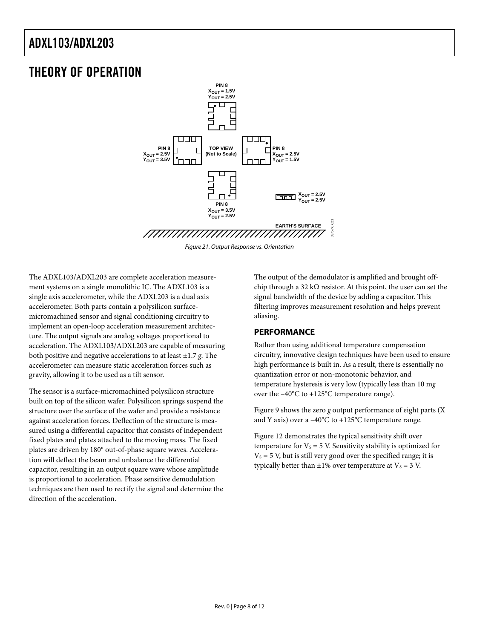### <span id="page-7-0"></span>THEORY OF OPERATION



Figure 21. Output Response vs. Orientation

The ADXL103/ADXL203 are complete acceleration measurement systems on a single monolithic IC. The ADXL103 is a single axis accelerometer, while the ADXL203 is a dual axis accelerometer. Both parts contain a polysilicon surfacemicromachined sensor and signal conditioning circuitry to implement an open-loop acceleration measurement architecture. The output signals are analog voltages proportional to acceleration. The ADXL103/ADXL203 are capable of measuring both positive and negative accelerations to at least ±1.7 *g*. The accelerometer can measure static acceleration forces such as gravity, allowing it to be used as a tilt sensor.

The sensor is a surface-micromachined polysilicon structure built on top of the silicon wafer. Polysilicon springs suspend the structure over the surface of the wafer and provide a resistance against acceleration forces. Deflection of the structure is measured using a differential capacitor that consists of independent fixed plates and plates attached to the moving mass. The fixed plates are driven by 180° out-of-phase square waves. Acceleration will deflect the beam and unbalance the differential capacitor, resulting in an output square wave whose amplitude is proportional to acceleration. Phase sensitive demodulation techniques are then used to rectify the signal and determine the direction of the acceleration.

The output of the demodulator is amplified and brought offchip through a 32 k $\Omega$  resistor. At this point, the user can set the signal bandwidth of the device by adding a capacitor. This filtering improves measurement resolution and helps prevent aliasing.

### **PERFORMANCE**

Rather than using additional temperature compensation circuitry, innovative design techniques have been used to ensure high performance is built in. As a result, there is essentially no quantization error or non-monotonic behavior, and temperature hysteresis is very low (typically less than 10 m*g* over the –40°C to +125°C temperature range).

Figure 9 shows the zero *g* output performance of eight parts (X and Y axis) over a  $-40^{\circ}$ C to  $+125^{\circ}$ C temperature range.

Figure 12 demonstrates the typical sensitivity shift over temperature for  $V_s = 5$  V. Sensitivity stability is optimized for  $V<sub>S</sub> = 5$  V, but is still very good over the specified range; it is typically better than  $\pm 1\%$  over temperature at  $V_s = 3$  V.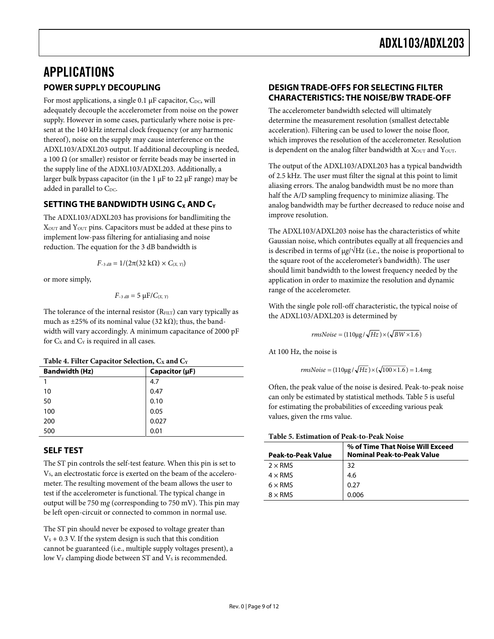# <span id="page-8-0"></span>APPLICATIONS

### **POWER SUPPLY DECOUPLING**

For most applications, a single 0.1  $\mu$ F capacitor, C<sub>DC</sub>, will adequately decouple the accelerometer from noise on the power supply. However in some cases, particularly where noise is present at the 140 kHz internal clock frequency (or any harmonic thereof), noise on the supply may cause interference on the ADXL103/ADXL203 output. If additional decoupling is needed, a 100  $\Omega$  (or smaller) resistor or ferrite beads may be inserted in the supply line of the ADXL103/ADXL203. Additionally, a larger bulk bypass capacitor (in the 1  $\mu$ F to 22  $\mu$ F range) may be added in parallel to  $C_{\text{DC}}$ .

### **SETTING THE BANDWIDTH USING C<sub>X</sub> AND C<sub>Y</sub>**

The ADXL103/ADXL203 has provisions for bandlimiting the XOUT and YOUT pins. Capacitors must be added at these pins to implement low-pass filtering for antialiasing and noise reduction. The equation for the 3 dB bandwidth is

$$
F_{-3dB} = 1/(2\pi(32 \text{ k}\Omega) \times C_{(X, Y)})
$$

or more simply,

$$
F_{-3 dB} = 5 \mu F / C_{(X, Y)}
$$

The tolerance of the internal resistor  $(R<sub>FILT</sub>)$  can vary typically as much as  $\pm 25\%$  of its nominal value (32 kΩ); thus, the bandwidth will vary accordingly. A minimum capacitance of 2000 pF for  $C_x$  and  $C_y$  is required in all cases.

|  |  |  | Table 4. Filter Capacitor Selection, $C_X$ and $C_Y$ |  |  |
|--|--|--|------------------------------------------------------|--|--|
|--|--|--|------------------------------------------------------|--|--|

| л.                    |                     |
|-----------------------|---------------------|
| <b>Bandwidth (Hz)</b> | Capacitor $(\mu F)$ |
|                       | 4.7                 |
| 10                    | 0.47                |
| 50                    | 0.10                |
| 100                   | 0.05                |
| 200                   | 0.027               |
| 500                   | 0.01                |

### **SELF TEST**

The ST pin controls the self-test feature. When this pin is set to V<sub>s</sub>, an electrostatic force is exerted on the beam of the accelerometer. The resulting movement of the beam allows the user to test if the accelerometer is functional. The typical change in output will be 750 m*g* (corresponding to 750 mV). This pin may be left open-circuit or connected to common in normal use.

The ST pin should never be exposed to voltage greater than  $V<sub>S</sub> + 0.3$  V. If the system design is such that this condition cannot be guaranteed (i.e., multiple supply voltages present), a low  $V_F$  clamping diode between ST and  $V_S$  is recommended.

### **DESIGN TRADE-OFFS FOR SELECTING FILTER CHARACTERISTICS: THE NOISE/BW TRADE-OFF**

The accelerometer bandwidth selected will ultimately determine the measurement resolution (smallest detectable acceleration). Filtering can be used to lower the noise floor, which improves the resolution of the accelerometer. Resolution is dependent on the analog filter bandwidth at  $X_{\text{OUT}}$  and  $Y_{\text{OUT}}$ .

The output of the ADXL103/ADXL203 has a typical bandwidth of 2.5 kHz. The user must filter the signal at this point to limit aliasing errors. The analog bandwidth must be no more than half the A/D sampling frequency to minimize aliasing. The analog bandwidth may be further decreased to reduce noise and improve resolution.

The ADXL103/ADXL203 noise has the characteristics of white Gaussian noise, which contributes equally at all frequencies and is described in terms of  $\mu$ *g*/ $\sqrt{Hz}$  (i.e., the noise is proportional to the square root of the accelerometer's bandwidth). The user should limit bandwidth to the lowest frequency needed by the application in order to maximize the resolution and dynamic range of the accelerometer.

With the single pole roll-off characteristic, the typical noise of the ADXL103/ADXL203 is determined by

$$
rmsNoise = (110\mu g / \sqrt{Hz}) \times (\sqrt{BW \times 1.6})
$$

At 100 Hz, the noise is

 $rmsNoise = (110\mu g/\sqrt{Hz}) \times (\sqrt{100 \times 1.6}) = 1.4mg$ 

Often, the peak value of the noise is desired. Peak-to-peak noise can only be estimated by statistical methods. [Table 5 i](#page-8-1)s useful for estimating the probabilities of exceeding various peak values, given the rms value.

#### <span id="page-8-1"></span>**Table 5. Estimation of Peak-to-Peak Noise**

| Peak-to-Peak Value | % of Time That Noise Will Exceed<br><b>Nominal Peak-to-Peak Value</b> |
|--------------------|-----------------------------------------------------------------------|
| $2 \times$ RMS     | 32                                                                    |
| $4 \times$ RMS     | 4.6                                                                   |
| $6 \times$ RMS     | 0.27                                                                  |
| $8 \times$ RMS     | 0.006                                                                 |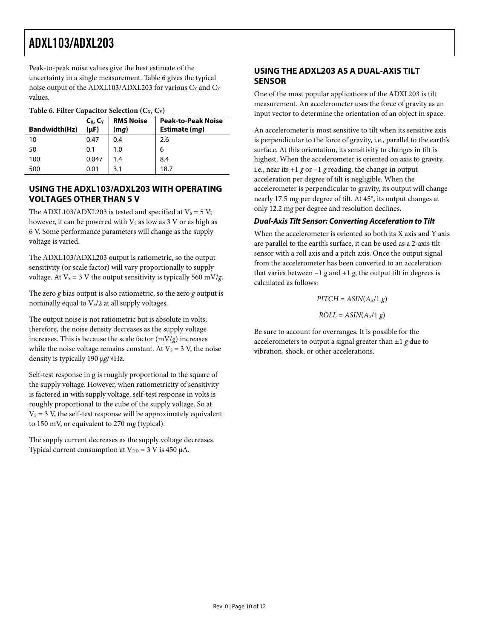<span id="page-9-0"></span>Peak-to-peak noise values give the best estimate of the uncertainty in a single measurement. [Table 6](#page-9-1) gives the typical noise output of the ADXL103/ADXL203 for various  $C_X$  and  $C_Y$ values.

<span id="page-9-1"></span>

| Table 6. Filter Capacitor Selection $(C_X, C_Y)$                            |       |     |                                            |  |  |  |
|-----------------------------------------------------------------------------|-------|-----|--------------------------------------------|--|--|--|
| <b>RMS Noise</b><br>$C_X, C_Y$<br><b>Bandwidth(Hz)</b><br>$(\mu F)$<br>(mg) |       |     | <b>Peak-to-Peak Noise</b><br>Estimate (mq) |  |  |  |
| 10                                                                          | 0.47  | 0.4 | 2.6                                        |  |  |  |
| 50                                                                          | 0.1   | 1.0 | 6                                          |  |  |  |
| 100                                                                         | 0.047 | 1.4 | 8.4                                        |  |  |  |
| 500                                                                         | 0.01  | 3.1 | 18.7                                       |  |  |  |

### **USING THE ADXL103/ADXL203 WITH OPERATING VOLTAGES OTHER THAN 5 V**

The ADXL103/ADXL203 is tested and specified at  $V_s = 5 V$ ; however, it can be powered with  $V<sub>S</sub>$  as low as 3 V or as high as 6 V. Some performance parameters will change as the supply voltage is varied.

The ADXL103/ADXL203 output is ratiometric, so the output sensitivity (or scale factor) will vary proportionally to supply voltage. At  $V_s = 3$  V the output sensitivity is typically 560 mV/*g*.

The zero *g* bias output is also ratiometric, so the zero *g* output is nominally equal to  $V_s/2$  at all supply voltages.

The output noise is not ratiometric but is absolute in volts; therefore, the noise density decreases as the supply voltage increases. This is because the scale factor  $(mV/g)$  increases while the noise voltage remains constant. At  $V_s = 3$  V, the noise density is typically 190 µ*g*/√Hz.

Self-test response in g is roughly proportional to the square of the supply voltage. However, when ratiometricity of sensitivity is factored in with supply voltage, self-test response in volts is roughly proportional to the cube of the supply voltage. So at  $V_s = 3$  V, the self-test response will be approximately equivalent to 150 mV, or equivalent to 270 m*g* (typical).

The supply current decreases as the supply voltage decreases. Typical current consumption at  $V_{DD} = 3 V$  is 450  $\mu$ A.

### **USING THE ADXL203 AS A DUAL-AXIS TILT SENSOR**

One of the most popular applications of the ADXL203 is tilt measurement. An accelerometer uses the force of gravity as an input vector to determine the orientation of an object in space.

An accelerometer is most sensitive to tilt when its sensitive axis is perpendicular to the force of gravity, i.e., parallel to the earth's surface. At this orientation, its sensitivity to changes in tilt is highest. When the accelerometer is oriented on axis to gravity, i.e., near its  $+1$  *g* or  $-1$  *g* reading, the change in output acceleration per degree of tilt is negligible. When the accelerometer is perpendicular to gravity, its output will change nearly 17.5 m*g* per degree of tilt. At 45°, its output changes at only 12.2 m*g* per degree and resolution declines.

### **Dual-Axis Tilt Sensor: Converting Acceleration to Tilt**

When the accelerometer is oriented so both its X axis and Y axis are parallel to the earth's surface, it can be used as a 2-axis tilt sensor with a roll axis and a pitch axis. Once the output signal from the accelerometer has been converted to an acceleration that varies between  $-1$  *g* and  $+1$  *g*, the output tilt in degrees is calculated as follows:

> $PITCH = ASIN(A<sub>X</sub>/1 g)$  $ROLL = ASIN(A<sub>Y</sub>/1 g)$

Be sure to account for overranges. It is possible for the accelerometers to output a signal greater than ±1 *g* due to vibration, shock, or other accelerations.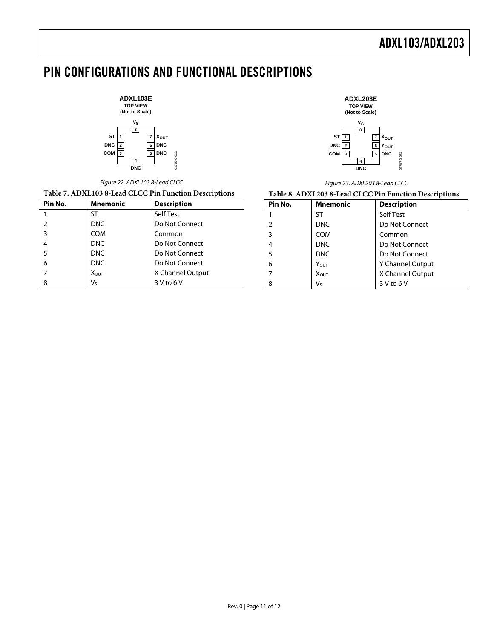# <span id="page-10-0"></span>PIN CONFIGURATIONS AND FUNCTIONAL DESCRIPTIONS

03757-0-022

03757-

 $0 - 022$ 

**ADXL103E TOP VIEW (Not to Scale)**  $\overline{\text{ST}}$   $\overline{11}$ **DNC 2 COM** 3 **DNC 4 XOUT DNC DNC 7 6 5**  $\mathbf{v}_\mathbf{S}$ **8**

Figure 22. ADXL103 8-Lead CLCC



Figure 23. ADXL203 8-Lead CLCC

| Table 7. ADXL103 8-Lead CLCC Pin Function Descriptions |                 |                    | Table 8. ADXL203 8-Lead CLCC Pin Function Descriptions |                  |                    |  |
|--------------------------------------------------------|-----------------|--------------------|--------------------------------------------------------|------------------|--------------------|--|
| Pin No.                                                | <b>Mnemonic</b> | <b>Description</b> | Pin No.                                                | <b>Mnemonic</b>  | <b>Description</b> |  |
|                                                        | ST              | Self Test          |                                                        | S1               | Self Test          |  |
|                                                        | <b>DNC</b>      | Do Not Connect     |                                                        | <b>DNC</b>       | Do Not Connect     |  |
|                                                        | <b>COM</b>      | Common             |                                                        | <b>COM</b>       | Common             |  |
|                                                        | <b>DNC</b>      | Do Not Connect     |                                                        | <b>DNC</b>       | Do Not Connect     |  |
|                                                        | <b>DNC</b>      | Do Not Connect     |                                                        | <b>DNC</b>       | Do Not Connect     |  |
| 6                                                      | <b>DNC</b>      | Do Not Connect     | 6                                                      | $Y_{\text{OUT}}$ | Y Channel Output   |  |
|                                                        | <b>XOUT</b>     | X Channel Output   |                                                        | <b>XOUT</b>      | X Channel Output   |  |
|                                                        | V <sub>s</sub>  | $3V$ to $6V$       |                                                        | $V_{S}$          | 3 V to 6 V         |  |